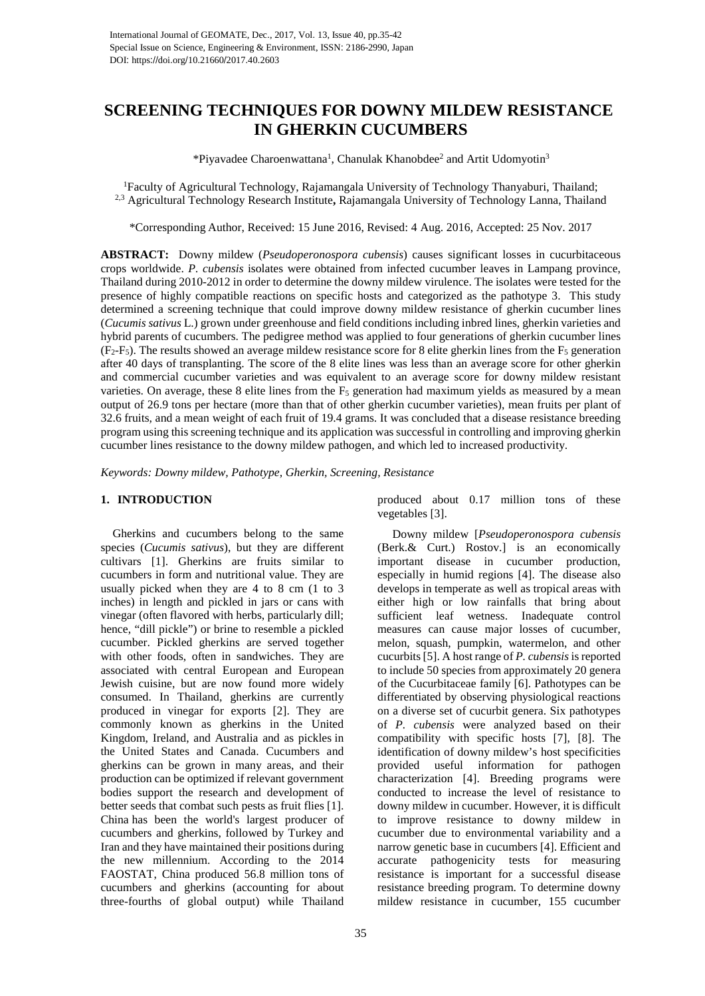# **SCREENING TECHNIQUES FOR DOWNY MILDEW RESISTANCE IN GHERKIN CUCUMBERS**

\*Piyavadee Charoenwattana<sup>1</sup>, Chanulak Khanobdee<sup>2</sup> and Artit Udomyotin<sup>3</sup>

<sup>1</sup>Faculty of Agricultural Technology, Rajamangala University of Technology Thanyaburi, Thailand; 2,3 Agricultural Technology Research Institute**,** Rajamangala University of Technology Lanna, Thailand

\*Corresponding Author, Received: 15 June 2016, Revised: 4 Aug. 2016, Accepted: 25 Nov. 2017

**ABSTRACT:** Downy mildew (*Pseudoperonospora cubensis*) causes significant losses in cucurbitaceous crops worldwide. *P. cubensis* isolates were obtained from infected cucumber leaves in Lampang province, Thailand during 2010-2012 in order to determine the downy mildew virulence. The isolates were tested for the presence of highly compatible reactions on specific hosts and categorized as the pathotype 3. This study determined a screening technique that could improve downy mildew resistance of gherkin cucumber lines (*Cucumis sativus* L.) grown under greenhouse and field conditions including inbred lines, gherkin varieties and hybrid parents of cucumbers. The pedigree method was applied to four generations of gherkin cucumber lines  $(F_2-F_5)$ . The results showed an average mildew resistance score for 8 elite gherkin lines from the  $F_5$  generation after 40 days of transplanting. The score of the 8 elite lines was less than an average score for other gherkin and commercial cucumber varieties and was equivalent to an average score for downy mildew resistant varieties. On average, these 8 elite lines from the  $F_5$  generation had maximum yields as measured by a mean output of 26.9 tons per hectare (more than that of other gherkin cucumber varieties), mean fruits per plant of 32.6 fruits, and a mean weight of each fruit of 19.4 grams. It was concluded that a disease resistance breeding program using this screening technique and its application was successful in controlling and improving gherkin cucumber lines resistance to the downy mildew pathogen, and which led to increased productivity.

*Keywords: Downy mildew, Pathotype, Gherkin, Screening, Resistance*

# **1. INTRODUCTION**

 Gherkins and cucumbers belong to the same species (*Cucumis sativus*), but they are different cultivars [1]. Gherkins are fruits similar to cucumbers in form and nutritional value. They are usually picked when they are 4 to 8 cm (1 to 3 inches) in length and pickled in jars or cans with vinegar (often flavored with herbs, particularly dill; hence, "dill pickle") or brine to resemble a pickled cucumber. Pickled gherkins are served together with other foods, often in sandwiches. They are associated with central European and European Jewish cuisine, but are now found more widely consumed. In Thailand, gherkins are currently produced in vinegar for exports [\[2\].](https://en.wikipedia.org/wiki/Pickled_cucumber#cite_note-fao-3) They are commonly known as gherkins in the United Kingdom, Ireland, and Australia and as pickles in the United States and Canada. Cucumbers and gherkins can be grown in many areas, and their production can be optimized if relevant government bodies support the research and development of better seeds that combat such pests as fruit flies [1]. China has been the world's largest producer of cucumbers and gherkins, followed by Turkey and Iran and they have maintained their positions during the new millennium. According to the 2014 FAOSTAT, China produced 56.8 million tons of cucumbers and gherkins (accounting for about three-fourths of global output) while Thailand

produced about 0.17 million tons of these vegetables [3].

 Downy mildew [*Pseudoperonospora cubensis*  (Berk.& Curt.) Rostov.] is an economically important disease in cucumber production, especially in humid regions [4]. The disease also develops in temperate as well as tropical areas with either high or low rainfalls that bring about sufficient leaf wetness. Inadequate control measures can cause major losses of cucumber, melon, squash, pumpkin, watermelon, and other cucurbits [5]. A host range of *P. cubensis* is reported to include 50 species from approximately 20 genera of the Cucurbitaceae family [6]. Pathotypes can be differentiated by observing physiological reactions on a diverse set of cucurbit genera. Six pathotypes of *P. cubensis* were analyzed based on their compatibility with specific hosts [7], [8]. The identification of downy mildew's host specificities provided useful information for pathogen characterization [4]. Breeding programs were conducted to increase the level of resistance to downy mildew in cucumber. However, it is difficult to improve resistance to downy mildew in cucumber due to environmental variability and a narrow genetic base in cucumbers [4]. Efficient and accurate pathogenicity tests for measuring resistance is important for a successful disease resistance breeding program. To determine downy mildew resistance in cucumber, 155 cucumber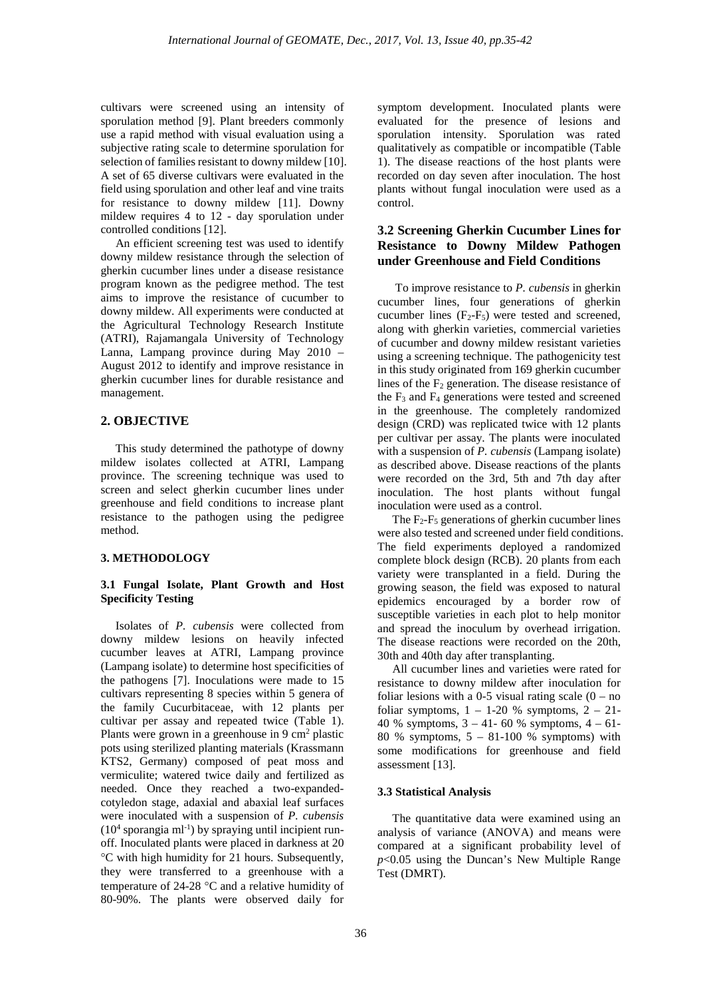cultivars were screened using an intensity of sporulation method [9]. Plant breeders commonly use a rapid method with visual evaluation using a subjective rating scale to determine sporulation for selection of families resistant to downy mildew [10]. A set of 65 diverse cultivars were evaluated in the field using sporulation and other leaf and vine traits for resistance to downy mildew [11]. Downy mildew requires 4 to 12 - day sporulation under controlled conditions [12].

 An efficient screening test was used to identify downy mildew resistance through the selection of gherkin cucumber lines under a disease resistance program known as the pedigree method. The test aims to improve the resistance of cucumber to downy mildew. All experiments were conducted at the Agricultural Technology Research Institute (ATRI), Rajamangala University of Technology Lanna, Lampang province during May 2010 – August 2012 to identify and improve resistance in gherkin cucumber lines for durable resistance and management.

# **2. OBJECTIVE**

 This study determined the pathotype of downy mildew isolates collected at ATRI, Lampang province. The screening technique was used to screen and select gherkin cucumber lines under greenhouse and field conditions to increase plant resistance to the pathogen using the pedigree method.

# **3. METHODOLOGY**

#### **3.1 Fungal Isolate, Plant Growth and Host Specificity Testing**

 Isolates of *P. cubensis* were collected from downy mildew lesions on heavily infected cucumber leaves at ATRI, Lampang province (Lampang isolate) to determine host specificities of the pathogens [7]. Inoculations were made to 15 cultivars representing 8 species within 5 genera of the family Cucurbitaceae, with 12 plants per cultivar per assay and repeated twice (Table 1). Plants were grown in a greenhouse in  $9 \text{ cm}^2$  plastic pots using sterilized planting materials (Krassmann KTS2, Germany) composed of peat moss and vermiculite; watered twice daily and fertilized as needed. Once they reached a two-expandedcotyledon stage, adaxial and abaxial leaf surfaces were inoculated with a suspension of *P. cubensis*   $(10<sup>4</sup>$  sporangia ml<sup>-1</sup>) by spraying until incipient runoff. Inoculated plants were placed in darkness at 20 °C with high humidity for 21 hours. Subsequently, they were transferred to a greenhouse with a temperature of 24-28 °C and a relative humidity of 80-90%. The plants were observed daily for

symptom development. Inoculated plants were evaluated for the presence of lesions and sporulation intensity. Sporulation was rated qualitatively as compatible or incompatible (Table 1). The disease reactions of the host plants were recorded on day seven after inoculation. The host plants without fungal inoculation were used as a control.

# **3.2 Screening Gherkin Cucumber Lines for Resistance to Downy Mildew Pathogen under Greenhouse and Field Conditions**

 To improve resistance to *P. cubensis* in gherkin cucumber lines, four generations of gherkin cucumber lines  $(F_2-F_5)$  were tested and screened, along with gherkin varieties, commercial varieties of cucumber and downy mildew resistant varieties using a screening technique. The pathogenicity test in this study originated from 169 gherkin cucumber lines of the  $F_2$  generation. The disease resistance of the  $F_3$  and  $F_4$  generations were tested and screened in the greenhouse. The completely randomized design (CRD) was replicated twice with 12 plants per cultivar per assay. The plants were inoculated with a suspension of *P. cubensis* (Lampang isolate) as described above. Disease reactions of the plants were recorded on the 3rd, 5th and 7th day after inoculation. The host plants without fungal inoculation were used as a control.

The  $F_2-F_5$  generations of gherkin cucumber lines were also tested and screened under field conditions. The field experiments deployed a randomized complete block design (RCB). 20 plants from each variety were transplanted in a field. During the growing season, the field was exposed to natural epidemics encouraged by a border row of susceptible varieties in each plot to help monitor and spread the inoculum by overhead irrigation. The disease reactions were recorded on the 20th, 30th and 40th day after transplanting.

 All cucumber lines and varieties were rated for resistance to downy mildew after inoculation for foliar lesions with a 0-5 visual rating scale  $(0 - no)$ foliar symptoms,  $1 - 1-20$  % symptoms,  $2 - 21-$ 40 % symptoms, 3 – 41- 60 % symptoms, 4 – 61- 80 % symptoms, 5 – 81-100 % symptoms) with some modifications for greenhouse and field assessment [13].

# **3.3 Statistical Analysis**

 The quantitative data were examined using an analysis of variance (ANOVA) and means were compared at a significant probability level of *p*<0.05 using the Duncan's New Multiple Range Test (DMRT).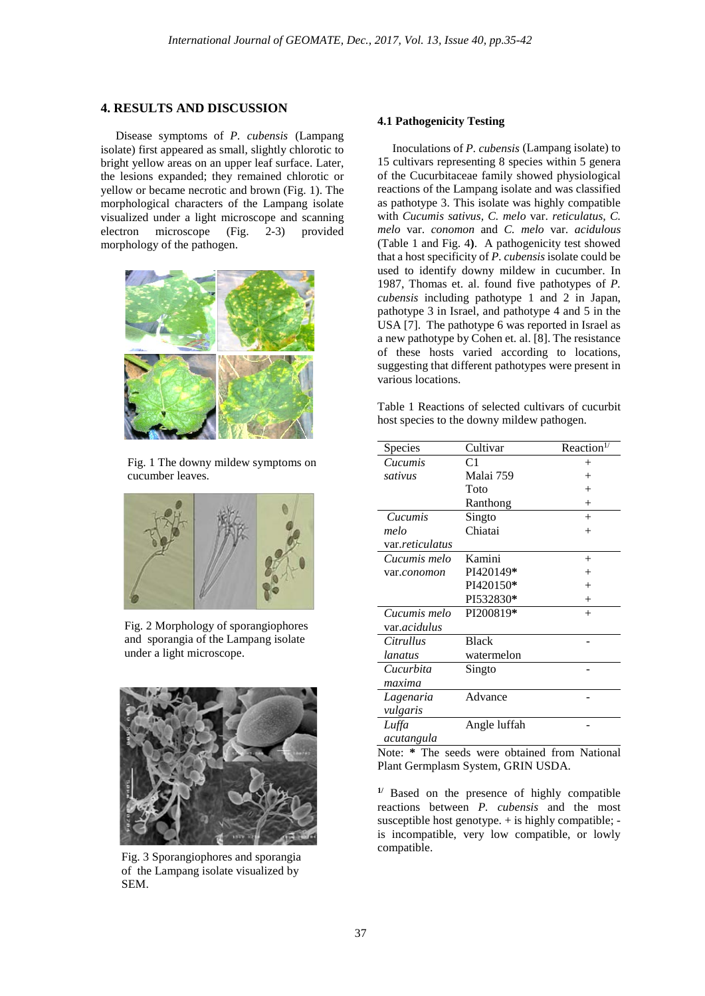### **4. RESULTS AND DISCUSSION**

 Disease symptoms of *P. cubensis* (Lampang isolate) first appeared as small, slightly chlorotic to bright yellow areas on an upper leaf surface. Later, the lesions expanded; they remained chlorotic or yellow or became necrotic and brown (Fig. 1). The morphological characters of the Lampang isolate visualized under a light microscope and scanning electron microscope (Fig. 2-3) provided morphology of the pathogen.



 Fig. 1 The downy mildew symptoms on cucumber leaves.



 Fig. 2 Morphology of sporangiophores and sporangia of the Lampang isolate under a light microscope.



 Fig. 3 Sporangiophores and sporangia of the Lampang isolate visualized by SEM.

#### **4.1 Pathogenicity Testing**

 Inoculations of *P. cubensis* (Lampang isolate) to 15 cultivars representing 8 species within 5 genera of the Cucurbitaceae family showed physiological reactions of the Lampang isolate and was classified as pathotype 3. This isolate was highly compatible with *Cucumis sativus, C. melo* var. *reticulatus, C. melo* var. *conomon* and *C. melo* var. *acidulous*  (Table 1 and Fig. 4**)**. A pathogenicity test showed that a host specificity of *P. cubensis* isolate could be used to identify downy mildew in cucumber. In 1987, Thomas et. al. found five pathotypes of *P. cubensis* including pathotype 1 and 2 in Japan, pathotype 3 in Israel, and pathotype 4 and 5 in the USA [7]. The pathotype 6 was reported in Israel as a new pathotype by Cohen et. al. [8]. The resistance of these hosts varied according to locations, suggesting that different pathotypes were present in various locations.

Table 1 Reactions of selected cultivars of cucurbit host species to the downy mildew pathogen.

| Species                 | Cultivar       | Reaction <sup>1/</sup> |
|-------------------------|----------------|------------------------|
| Cucumis                 | C <sub>1</sub> | $^+$                   |
| sativus                 | Malai 759      | $^{+}$                 |
|                         | Toto           | $^{+}$                 |
|                         | Ranthong       | $^{+}$                 |
| Cucumis                 | Singto         | $^{+}$                 |
| melo                    | Chiatai        | $^{+}$                 |
| var. <i>reticulatus</i> |                |                        |
| Cucumis melo            | Kamini         | $^{+}$                 |
| var.conomon             | PI420149*      | $^{+}$                 |
|                         | PI420150*      | $^{+}$                 |
|                         | PI532830*      | $^+$                   |
| Cucumis melo            | PI200819*      | $^{+}$                 |
| var. <i>acidulus</i>    |                |                        |
| <i>Citrullus</i>        | <b>Black</b>   |                        |
| lanatus                 | watermelon     |                        |
| Cucurbita               | Singto         |                        |
| maxima                  |                |                        |
| Lagenaria               | Advance        |                        |
| vulgaris                |                |                        |
| Luffa                   | Angle luffah   |                        |
| acutangula              |                |                        |

Note: **\*** The seeds were obtained from National Plant Germplasm System, GRIN USDA.

**1/** Based on the presence of highly compatible reactions between *P. cubensis* and the most susceptible host genotype. + is highly compatible; is incompatible, very low compatible, or lowly compatible.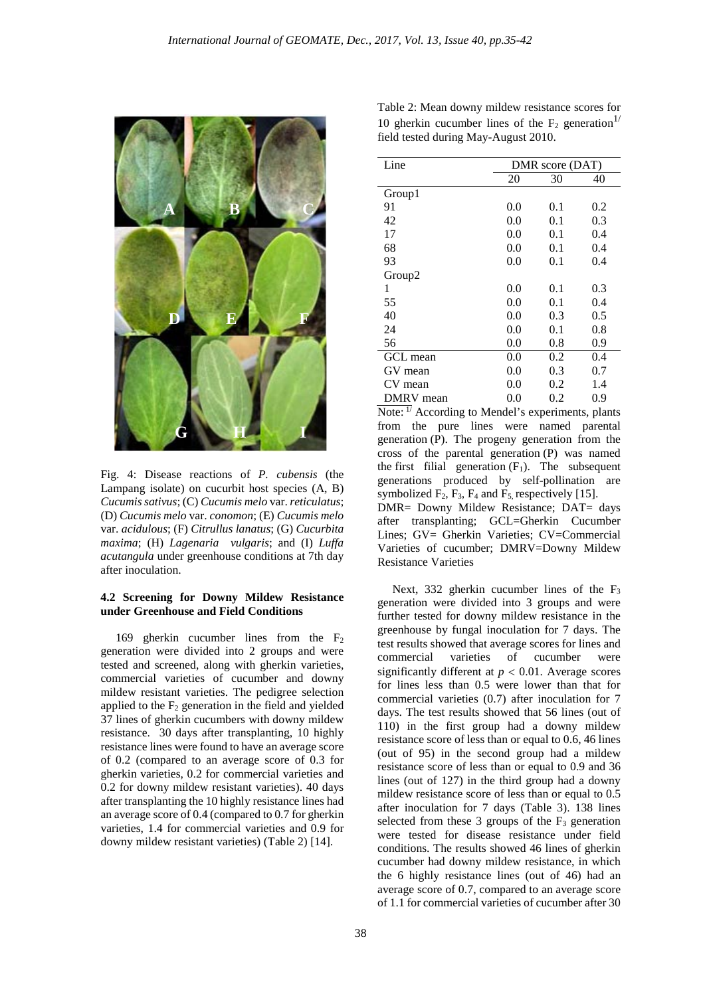

Fig. 4: Disease reactions of *P. cubensis* (the Lampang isolate) on cucurbit host species (A, B) *Cucumis sativus*; (C) *Cucumis melo* var. *reticulatus*; (D) *Cucumis melo* var. *conomon*; (E) *Cucumis melo*  var. *acidulous*; (F) *Citrullus lanatus*; (G) *Cucurbita maxima*; (H) *Lagenaria vulgaris*; and (I) *Luffa acutangula* under greenhouse conditions at 7th day after inoculation.

#### **4.2 Screening for Downy Mildew Resistance under Greenhouse and Field Conditions**

 169 gherkin cucumber lines from the F2 generation were divided into 2 groups and were tested and screened, along with gherkin varieties, commercial varieties of cucumber and downy mildew resistant varieties. The pedigree selection applied to the  $F_2$  generation in the field and yielded 37 lines of gherkin cucumbers with downy mildew resistance. 30 days after transplanting, 10 highly resistance lines were found to have an average score of 0.2 (compared to an average score of 0.3 for gherkin varieties, 0.2 for commercial varieties and 0.2 for downy mildew resistant varieties). 40 days after transplanting the 10 highly resistance lines had an average score of 0.4 (compared to 0.7 for gherkin varieties, 1.4 for commercial varieties and 0.9 for downy mildew resistant varieties) (Table 2) [14].

| Line      |     | DMR score (DAT) |     |  |  |
|-----------|-----|-----------------|-----|--|--|
|           | 20  | 30              | 40  |  |  |
| Group1    |     |                 |     |  |  |
| 91        | 0.0 | 0.1             | 0.2 |  |  |
| 42        | 0.0 | 0.1             | 0.3 |  |  |
| 17        | 0.0 | 0.1             | 0.4 |  |  |
| 68        | 0.0 | 0.1             | 0.4 |  |  |
| 93        | 0.0 | 0.1             | 0.4 |  |  |
| Group2    |     |                 |     |  |  |
| 1         | 0.0 | 0.1             | 0.3 |  |  |
| 55        | 0.0 | 0.1             | 0.4 |  |  |
| 40        | 0.0 | 0.3             | 0.5 |  |  |
| 24        | 0.0 | 0.1             | 0.8 |  |  |
| 56        | 0.0 | 0.8             | 0.9 |  |  |
| GCL mean  | 0.0 | 0.2             | 0.4 |  |  |
| GV mean   | 0.0 | 0.3             | 0.7 |  |  |
| CV mean   | 0.0 | 0.2             | 1.4 |  |  |
| DMRV mean | 0.0 | 0.2             | 0.9 |  |  |

Note:  $\frac{1}{l}$  According to Mendel's experiments, plants from the pure lines were named parental generation (P). The progeny generation from the cross of the parental generation (P) was named the first filial generation  $(F_1)$ . The subsequent generations produced by self-pollination are symbolized  $F_2$ ,  $F_3$ ,  $F_4$  and  $F_5$ , respectively [15]. DMR= Downy Mildew Resistance; DAT= days after transplanting; GCL=Gherkin Cucumber Lines; GV= Gherkin Varieties; CV=Commercial Varieties of cucumber; DMRV=Downy Mildew Resistance Varieties

Next, 332 gherkin cucumber lines of the  $F_3$ generation were divided into 3 groups and were further tested for downy mildew resistance in the greenhouse by fungal inoculation for 7 days. The test results showed that average scores for lines and commercial varieties of cucumber were significantly different at  $p < 0.01$ . Average scores for lines less than 0.5 were lower than that for commercial varieties (0.7) after inoculation for 7 days. The test results showed that 56 lines (out of 110) in the first group had a downy mildew resistance score of less than or equal to 0.6, 46 lines (out of 95) in the second group had a mildew resistance score of less than or equal to 0.9 and 36 lines (out of 127) in the third group had a downy mildew resistance score of less than or equal to 0.5 after inoculation for 7 days (Table 3). 138 lines selected from these  $3$  groups of the  $F_3$  generation were tested for disease resistance under field conditions. The results showed 46 lines of gherkin cucumber had downy mildew resistance, in which the 6 highly resistance lines (out of 46) had an average score of 0.7, compared to an average score of 1.1 for commercial varieties of cucumber after 30

| Table 2: Mean downy mildew resistance scores for                |
|-----------------------------------------------------------------|
| 10 gherkin cucumber lines of the $F_2$ generation <sup>1/</sup> |
| field tested during May-August 2010.                            |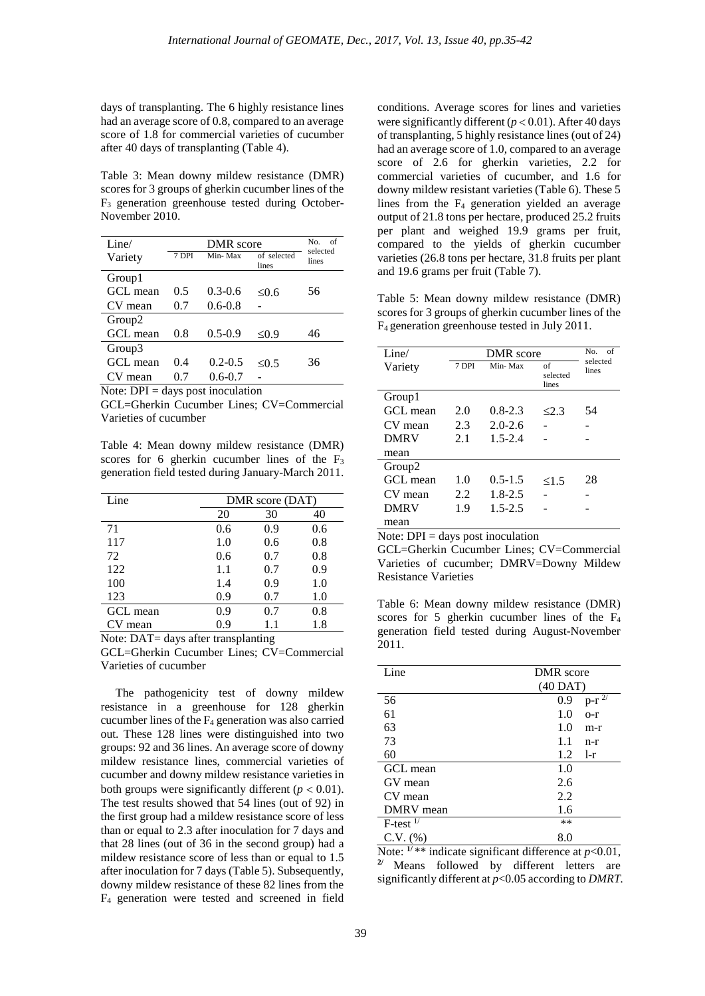days of transplanting. The 6 highly resistance lines had an average score of 0.8, compared to an average score of 1.8 for commercial varieties of cucumber after 40 days of transplanting (Table 4).

Table 3: Mean downy mildew resistance (DMR) scores for 3 groups of gherkin cucumber lines of the F3 generation greenhouse tested during October-November 2010.

| Line/              | DMR score |             |                      | No.<br>of<br>selected |
|--------------------|-----------|-------------|----------------------|-----------------------|
| Variety            | 7 DPI     | Min-Max     | of selected<br>lines | lines                 |
| Group1             |           |             |                      |                       |
| GCL mean           | 0.5       | $0.3 - 0.6$ | $\leq 0.6$           | 56                    |
| CV mean            | 0.7       | $0.6 - 0.8$ |                      |                       |
| Group <sub>2</sub> |           |             |                      |                       |
| GCL mean           | 0.8       | $0.5 - 0.9$ | $\leq 0.9$           | 46                    |
| Group3             |           |             |                      |                       |
| GCL mean           | 0.4       | $0.2 - 0.5$ | $\leq 0.5$           | 36                    |
| CV mean            | 07        | $0.6 - 0.7$ |                      |                       |

Note:  $DPI = \text{days post inoculation}$ 

GCL=Gherkin Cucumber Lines; CV=Commercial Varieties of cucumber

Table 4: Mean downy mildew resistance (DMR) scores for 6 gherkin cucumber lines of the  $F_3$ generation field tested during January-March 2011.

| Line     | DMR score (DAT) |     |     |  |
|----------|-----------------|-----|-----|--|
|          | 20              | 30  | 40  |  |
| 71       | 0.6             | 0.9 | 0.6 |  |
| 117      | 1.0             | 0.6 | 0.8 |  |
| 72       | 0.6             | 0.7 | 0.8 |  |
| 122      | 1.1             | 0.7 | 0.9 |  |
| 100      | 1.4             | 0.9 | 1.0 |  |
| 123      | 0.9             | 0.7 | 1.0 |  |
| GCL mean | 0.9             | 0.7 | 0.8 |  |
| CV mean  | 0.9             | 1.1 | 1.8 |  |

Note: DAT= days after transplanting

GCL=Gherkin Cucumber Lines; CV=Commercial Varieties of cucumber

 The pathogenicity test of downy mildew resistance in a greenhouse for 128 gherkin cucumber lines of the F4 generation was also carried out. These 128 lines were distinguished into two groups: 92 and 36 lines. An average score of downy mildew resistance lines, commercial varieties of cucumber and downy mildew resistance varieties in both groups were significantly different  $(p < 0.01)$ . The test results showed that 54 lines (out of 92) in the first group had a mildew resistance score of less than or equal to 2.3 after inoculation for 7 days and that 28 lines (out of 36 in the second group) had a mildew resistance score of less than or equal to 1.5 after inoculation for 7 days (Table 5). Subsequently, downy mildew resistance of these 82 lines from the F4 generation were tested and screened in field

conditions. Average scores for lines and varieties were significantly different (*p* < 0.01). After 40 days of transplanting, 5 highly resistance lines (out of 24) had an average score of 1.0, compared to an average score of 2.6 for gherkin varieties, 2.2 for commercial varieties of cucumber, and 1.6 for downy mildew resistant varieties (Table 6). These 5 lines from the F4 generation yielded an average output of 21.8 tons per hectare, produced 25.2 fruits per plant and weighed 19.9 grams per fruit, compared to the yields of gherkin cucumber varieties (26.8 tons per hectare, 31.8 fruits per plant and 19.6 grams per fruit (Table 7).

Table 5: Mean downy mildew resistance (DMR) scores for 3 groups of gherkin cucumber lines of the F4 generation greenhouse tested in July 2011.

| Line/              |       | DMR score   |                         |                   |  |
|--------------------|-------|-------------|-------------------------|-------------------|--|
| Variety            | 7 DPI | Min-Max     | of<br>selected<br>lines | selected<br>lines |  |
| Group1             |       |             |                         |                   |  |
| GCL mean           | 2.0   | $0.8 - 2.3$ | 23                      | 54                |  |
| CV mean            | 2.3   | $2.0 - 2.6$ |                         |                   |  |
| <b>DMRV</b>        | 2.1   | $1.5 - 2.4$ |                         |                   |  |
| mean               |       |             |                         |                   |  |
| Group <sub>2</sub> |       |             |                         |                   |  |
| GCL mean           | 1.0   | $0.5 - 1.5$ | <1.5                    | 28                |  |
| CV mean            | 2.2.  | $1.8 - 2.5$ |                         |                   |  |
| <b>DMRV</b>        | 1.9   | $1.5 - 2.5$ |                         |                   |  |
| mean               |       |             |                         |                   |  |

Note: DPI = days post inoculation

GCL=Gherkin Cucumber Lines; CV=Commercial Varieties of cucumber; DMRV=Downy Mildew Resistance Varieties

Table 6: Mean downy mildew resistance (DMR) scores for 5 gherkin cucumber lines of the  $F_4$ generation field tested during August-November 2011.

| Line              | DMR score  |                                             |  |
|-------------------|------------|---------------------------------------------|--|
|                   | $(40$ DAT) |                                             |  |
| 56                | 0.9        | $p-r$ <sup><math>\overline{27}</math></sup> |  |
| 61                | 1.0        | $0 - r$                                     |  |
| 63                | 1.0        | m-r                                         |  |
| 73                | 1.1        | $n-r$                                       |  |
| 60                | 1.2        | $1-r$                                       |  |
| GCL mean          | 1.0        |                                             |  |
| GV mean           | 2.6        |                                             |  |
| CV mean           | 2.2        |                                             |  |
| DMRV mean         | 1.6        |                                             |  |
| $F$ -test $^{1/}$ | **         |                                             |  |
| $C.V.$ $(\%)$     | 8.0        |                                             |  |

Note:  $\frac{1}{x^*}$  indicate significant difference at  $p<0.01$ , **2/** Means followed by different letters are significantly different at *p*<0.05 according to *DMRT.*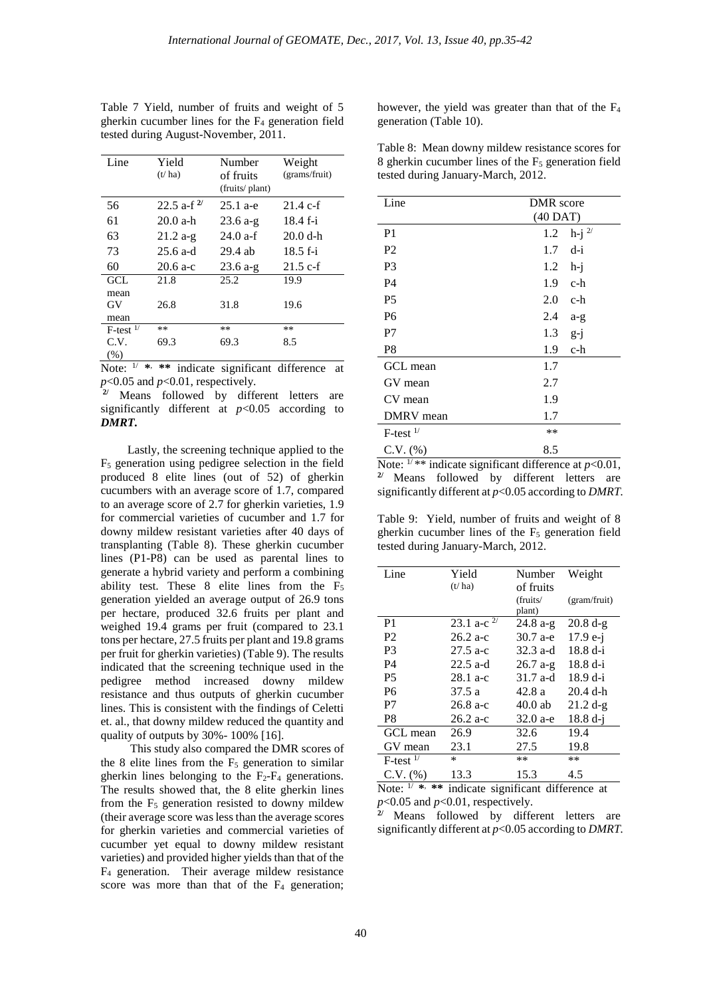| Line                   | Yield<br>(t/ha)        | Number<br>of fruits<br>(fruits/plant) | Weight<br>(grams/fruit) |
|------------------------|------------------------|---------------------------------------|-------------------------|
| 56                     | 22.5 a-f <sup>2/</sup> | $25.1 a-e$                            | $21.4 \text{ c-f}$      |
| 61                     | $20.0 a-h$             | $23.6 a-g$                            | $18.4 f-i$              |
| 63                     | $21.2 a-g$             | $24.0$ a-f                            | $20.0 d-h$              |
| 73                     | $25.6$ a-d             | 29.4 ab                               | $18.5f - i$             |
| 60                     | $20.6 a-c$             | $23.6 a-g$                            | $21.5$ c-f              |
| GCL.<br>mean           | 21.8                   | 25.2                                  | 19.9                    |
| GV<br>mean             | 26.8                   | 31.8                                  | 19.6                    |
| $F-test$ <sup>1/</sup> | **                     | **                                    | $***$                   |
| C.V.                   | 69.3                   | 69.3                                  | 8.5                     |
| (% )                   |                        |                                       |                         |

Table 7 Yield, number of fruits and weight of 5 gherkin cucumber lines for the F4 generation field tested during August-November, 2011.

Note: 1/ **\***, **\*\*** indicate significant difference at *p*<0.05 and *p*<0.01, respectively.

**2/** Means followed by different letters are significantly different at  $p<0.05$  according to *DMRT.*

 Lastly, the screening technique applied to the F5 generation using pedigree selection in the field produced 8 elite lines (out of 52) of gherkin cucumbers with an average score of 1.7, compared to an average score of 2.7 for gherkin varieties, 1.9 for commercial varieties of cucumber and 1.7 for downy mildew resistant varieties after 40 days of transplanting (Table 8). These gherkin cucumber lines (P1-P8) can be used as parental lines to generate a hybrid variety and perform a combining ability test. These 8 elite lines from the F<sub>5</sub> generation yielded an average output of 26.9 tons per hectare, produced 32.6 fruits per plant and weighed 19.4 grams per fruit (compared to 23.1 tons per hectare, 27.5 fruits per plant and 19.8 grams per fruit for gherkin varieties) (Table 9). The results indicated that the screening technique used in the pedigree method increased downy mildew resistance and thus outputs of gherkin cucumber lines. This is consistent with the findings of Celetti et. al., that downy mildew reduced the quantity and quality of outputs by 30%- 100% [16].

 This study also compared the DMR scores of the 8 elite lines from the  $F<sub>5</sub>$  generation to similar gherkin lines belonging to the  $F_2-F_4$  generations. The results showed that, the 8 elite gherkin lines from the  $F<sub>5</sub>$  generation resisted to downy mildew (their average score was less than the average scores for gherkin varieties and commercial varieties of cucumber yet equal to downy mildew resistant varieties) and provided higher yields than that of the F4 generation. Their average mildew resistance score was more than that of the  $F_4$  generation; however, the yield was greater than that of the  $F_4$ generation (Table 10).

Table 8: Mean downy mildew resistance scores for 8 gherkin cucumber lines of the F5 generation field tested during January-March, 2012.

| Line                                                    | DMR score  |                     |  |  |
|---------------------------------------------------------|------------|---------------------|--|--|
|                                                         | $(40$ DAT) |                     |  |  |
| P <sub>1</sub>                                          | 1.2        | $h-j$ <sup>2/</sup> |  |  |
| P <sub>2</sub>                                          | 1.7        | d-i                 |  |  |
| P3                                                      | 1.2        | h-j                 |  |  |
| P <sub>4</sub>                                          | 1.9        | c-h                 |  |  |
| P <sub>5</sub>                                          | 2.0        | c-h                 |  |  |
| P <sub>6</sub>                                          | 2.4        | $a-g$               |  |  |
| P7                                                      | 1.3        | $g-1$               |  |  |
| P <sub>8</sub>                                          | 1.9        | c-h                 |  |  |
| GCL mean                                                | 1.7        |                     |  |  |
| GV mean                                                 | 2.7        |                     |  |  |
| CV mean                                                 | 1.9        |                     |  |  |
| DMRV mean                                               | 1.7        |                     |  |  |
| $F$ -test $^{1/}$                                       | **         |                     |  |  |
| $C.V. (\% )$                                            | 8.5        |                     |  |  |
| Note: $1/*$ indicate significant difference at $n<0.01$ |            |                     |  |  |

indicate significant difference at  $p<0.01$ , **2/** Means followed by different letters are significantly different at *p*<0.05 according to *DMRT.*

Table 9: Yield, number of fruits and weight of 8 gherkin cucumber lines of the  $F<sub>5</sub>$  generation field tested during January-March, 2012.

| Line              | Yield            | Number     | Weight       |
|-------------------|------------------|------------|--------------|
|                   | (t/ha)           | of fruits  |              |
|                   |                  | (fruits/   | (gram/fruit) |
|                   |                  | plant)     |              |
| P <sub>1</sub>    | 23.1 a-c $^{2/}$ | $24.8a-g$  | $20.8 d-g$   |
| P <sub>2</sub>    | $26.2 a-c$       | $30.7 a-e$ | $17.9 e-j$   |
| P <sub>3</sub>    | $27.5$ a-c       | $32.3$ a-d | $18.8 d-i$   |
| P <sub>4</sub>    | $22.5$ a-d       | $26.7a-g$  | $18.8 d-i$   |
| P <sub>5</sub>    | $28.1 a-c$       | 31.7 a-d   | $18.9 d-i$   |
| P <sub>6</sub>    | 37.5a            | 42.8 a     | $20.4$ d-h   |
| P7                | $26.8$ a-c       | $40.0$ ab  | $21.2 d-g$   |
| P8                | $26.2 a-c$       | $32.0 a-e$ | $18.8 d-i$   |
| GCL mean          | 26.9             | 32.6       | 19.4         |
| GV mean           | 23.1             | 27.5       | 19.8         |
| $F$ -test $^{1/}$ | *                | **         | **           |
| $C.V.$ $(\%)$     | 13.3             | 15.3       | 4.5          |

Note: 1/ **\***, **\*\*** indicate significant difference at *p*<0.05 and *p*<0.01, respectively.

**2/** Means followed by different letters are significantly different at *p*<0.05 according to *DMRT.*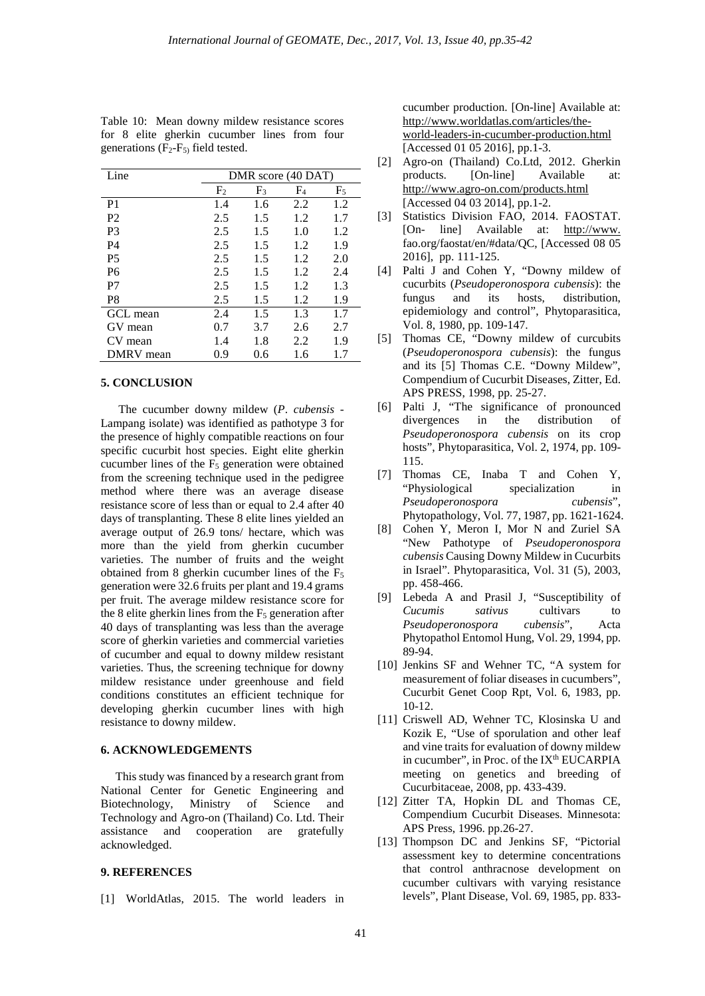| Line           |                | DMR score (40 DAT) |                |       |  |
|----------------|----------------|--------------------|----------------|-------|--|
|                | F <sub>2</sub> | $F_3$              | F <sub>4</sub> | $F_5$ |  |
| P <sub>1</sub> | 1.4            | 1.6                | 2.2            | 1.2   |  |
| P <sub>2</sub> | 2.5            | 1.5                | 1.2            | 1.7   |  |
| P <sub>3</sub> | 2.5            | 1.5                | 1.0            | 1.2   |  |
| <b>P4</b>      | 2.5            | 1.5                | 1.2            | 1.9   |  |
| P <sub>5</sub> | 2.5            | 1.5                | 1.2            | 2.0   |  |
| <b>P6</b>      | 2.5            | 1.5                | 1.2            | 2.4   |  |
| P7             | 2.5            | 1.5                | 1.2            | 1.3   |  |
| P8             | 2.5            | 1.5                | 1.2            | 1.9   |  |
| GCL mean       | 2.4            | 1.5                | 1.3            | 1.7   |  |
| GV mean        | 0.7            | 3.7                | 2.6            | 2.7   |  |
| CV mean        | 1.4            | 1.8                | 2.2            | 1.9   |  |
| DMRV mean      | 0.9            | 0.6                | 1.6            | 1.7   |  |

Table 10: Mean downy mildew resistance scores for 8 elite gherkin cucumber lines from four generations  $(F_2-F_5)$  field tested.

#### **5. CONCLUSION**

 The cucumber downy mildew (*P*. *cubensis* - Lampang isolate) was identified as pathotype 3 for the presence of highly compatible reactions on four specific cucurbit host species. Eight elite gherkin cucumber lines of the  $F<sub>5</sub>$  generation were obtained from the screening technique used in the pedigree method where there was an average disease resistance score of less than or equal to 2.4 after 40 days of transplanting. These 8 elite lines yielded an average output of 26.9 tons/ hectare, which was more than the yield from gherkin cucumber varieties. The number of fruits and the weight obtained from 8 gherkin cucumber lines of the  $F_5$ generation were 32.6 fruits per plant and 19.4 grams per fruit. The average mildew resistance score for the 8 elite gherkin lines from the  $F<sub>5</sub>$  generation after 40 days of transplanting was less than the average score of gherkin varieties and commercial varieties of cucumber and equal to downy mildew resistant varieties. Thus, the screening technique for downy mildew resistance under greenhouse and field conditions constitutes an efficient technique for developing gherkin cucumber lines with high resistance to downy mildew.

#### **6. ACKNOWLEDGEMENTS**

 This study was financed by a research grant from National Center for Genetic Engineering and Biotechnology, Ministry of Science and Technology and Agro-on (Thailand) Co. Ltd. Their assistance and cooperation are gratefully acknowledged.

# **9. REFERENCES**

[1] WorldAtlas, 2015. The world leaders in

cucumber production. [On-line] Available at: [http://www.worldatlas.com/articles/the](http://www.worldatlas.com/articles/the-world-leaders-in-cucumber-production.html)[world-leaders-in-cucumber-production.html](http://www.worldatlas.com/articles/the-world-leaders-in-cucumber-production.html) [Accessed 01 05 2016], pp.1-3.

- [2] Agro-on (Thailand) Co.Ltd, 2012. Gherkin [On-line] Available at: <http://www.agro-on.com/products.html> [Accessed 04 03 2014], pp.1-2.
- [3] Statistics Division FAO, 2014. FAOSTAT.<br>[On-line] Available at: http://www. Available at: [http://www.](http://www.worldatlas.com/articles/the-world-leaders-in-cucumber-production.html) fao.org/faostat/en/#data/QC, [Accessed 08 05 2016], pp. 111-125.
- [4] Palti J and Cohen Y, "Downy mildew of cucurbits (*Pseudoperonospora cubensis*): the fungus and its hosts, distribution, epidemiology and control", Phytoparasitica, Vol. 8, 1980, pp. 109-147.
- [5] Thomas CE, "Downy mildew of curcubits (*Pseudoperonospora cubensis*): the fungus and its [5] Thomas C.E. "Downy Mildew", Compendium of Cucurbit Diseases, Zitter, Ed. APS PRESS, 1998, pp. 25-27.
- [6] Palti J, "The significance of pronounced divergences in the distribution of *Pseudoperonospora cubensis* on its crop hosts", Phytoparasitica, Vol. 2, 1974, pp. 109- 115.
- [7] Thomas CE, Inaba T and Cohen Y, "Physiological specialization in *Pseudoperonospora cubensis*", Phytopathology, Vol. 77, 1987, pp. 1621-1624.
- [8] Cohen Y, Meron I, Mor N and Zuriel SA "New Pathotype of *Pseudoperonospora cubensis* Causing Downy Mildew in Cucurbits in Israel". Phytoparasitica, Vol. 31 (5), 2003, pp. 458-466.
- [9] Lebeda A and Prasil J, "Susceptibility of *Cucumis sativus* cultivars to *Pseudoperonospora cubensis*", Acta Phytopathol Entomol Hung, Vol. 29, 1994, pp. 89-94.
- [10] Jenkins SF and Wehner TC, "A system for measurement of foliar diseases in cucumbers", Cucurbit Genet Coop Rpt, Vol. 6, 1983, pp. 10-12.
- [11] Criswell AD, Wehner TC, Klosinska U and Kozik E, "Use of sporulation and other leaf and vine traits for evaluation of downy mildew in cucumber", in Proc. of the  $IX<sup>th</sup> EUCARPIA$ meeting on genetics and breeding of Cucurbitaceae, 2008, pp. 433-439.
- [12] Zitter TA, Hopkin DL and Thomas CE, Compendium Cucurbit Diseases. Minnesota: APS Press, 1996. pp.26-27.
- [13] Thompson DC and Jenkins SF, "Pictorial assessment key to determine concentrations that control anthracnose development on cucumber cultivars with varying resistance levels", Plant Disease, Vol. 69, 1985, pp. 833-